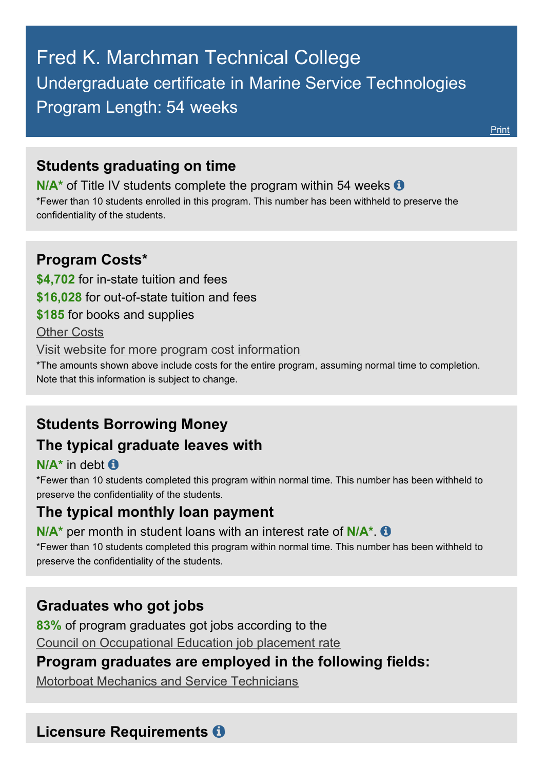# Fred K. Marchman Technical College Undergraduate certificate in Marine Service Technologies Program Length: 54 weeks

[Print](http://html2pdf.com/files/lw1bo5dey08p5ci6/o_1cac4vo6cd92tnrj0saef1k1j1f/47.0616-GedtPrint.html)

#### **Students graduating on time**

**N/A<sup>\*</sup>** of Title IV students complete the program within 54 weeks **O** \*Fewer than 10 students enrolled in this program. This number has been withheld to preserve the confidentiality of the students.

### **Program Costs\***

**\$4,702** for in-state tuition and fees

**\$16,028** for out-of-state tuition and fees

**\$185** for books and supplies

Other Costs

Visit website for more program cost [information](http://mtec.pasco.k12.fl.us/marine-service-technology/)

\*The amounts shown above include costs for the entire program, assuming normal time to completion. Note that this information is subject to change.

# **Students Borrowing Money**

#### **The typical graduate leaves with**

**N/A\*** in debt

\*Fewer than 10 students completed this program within normal time. This number has been withheld to preserve the confidentiality of the students.

#### **The typical monthly loan payment**

**N/A\*** per month in student loans with an interest rate of **N/A\***.

\*Fewer than 10 students completed this program within normal time. This number has been withheld to preserve the confidentiality of the students.

# **Graduates who got jobs**

**83%** of program graduates got jobs according to the Council on Occupational Education job placement rate

# **Program graduates are employed in the following fields:**

Motorboat Mechanics and Service [Technicians](http://online.onetcenter.org/link/summary/49-3051.00)

#### **Licensure Requirements**